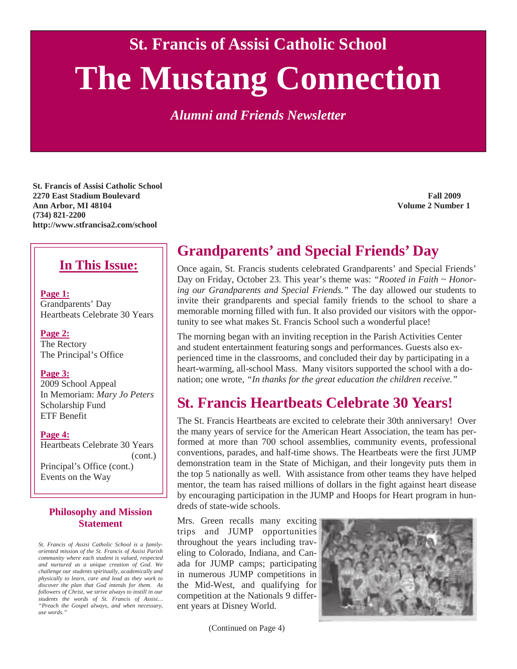**St. Francis of Assisi Catholic School** 

# **The Mustang Connection**

*Alumni and Friends Newsletter* 

**St. Francis of Assisi Catholic School 2270 East Stadium Boulevard Fall 2009 Ann Arbor, MI 48104 Volume 2 Number 1 (734) 821-2200 http://www.stfrancisa2.com/school** 

#### **In This Issue:**

**Page 1:** Grandparents' Day Heartbeats Celebrate 30 Years

**Page 2:** The Rectory The Principal's Office

**Page 3:** 2009 School Appeal In Memoriam: *Mary Jo Peters*  Scholarship Fund ETF Benefit

**Page 4:** Heartbeats Celebrate 30 Years (cont.) Principal's Office (cont.) Events on the Way

#### **Philosophy and Mission Statement**

*St. Francis of Assisi Catholic School is a familyoriented mission of the St. Francis of Assisi Parish community where each student is valued, respected and nurtured as a unique creation of God. We challenge our students spiritually, academically and physically to learn, care and lead as they work to discover the plan that God intends for them. As followers of Christ, we strive always to instill in our students the words of St. Francis of Assisi… "Preach the Gospel always, and when necessary, use words."* 

# **Grandparents' and Special Friends' Day**

Once again, St. Francis students celebrated Grandparents' and Special Friends' Day on Friday, October 23. This year's theme was: *"Rooted in Faith ~ Honoring our Grandparents and Special Friends."* The day allowed our students to invite their grandparents and special family friends to the school to share a memorable morning filled with fun. It also provided our visitors with the opportunity to see what makes St. Francis School such a wonderful place!

The morning began with an inviting reception in the Parish Activities Center and student entertainment featuring songs and performances. Guests also experienced time in the classrooms, and concluded their day by participating in a heart-warming, all-school Mass. Many visitors supported the school with a donation; one wrote, *"In thanks for the great education the children receive."*

### **St. Francis Heartbeats Celebrate 30 Years!**

The St. Francis Heartbeats are excited to celebrate their 30th anniversary! Over the many years of service for the American Heart Association, the team has performed at more than 700 school assemblies, community events, professional conventions, parades, and half-time shows. The Heartbeats were the first JUMP demonstration team in the State of Michigan, and their longevity puts them in the top 5 nationally as well. With assistance from other teams they have helped mentor, the team has raised millions of dollars in the fight against heart disease by encouraging participation in the JUMP and Hoops for Heart program in hundreds of state-wide schools.

Mrs. Green recalls many exciting trips and JUMP opportunities throughout the years including traveling to Colorado, Indiana, and Canada for JUMP camps; participating in numerous JUMP competitions in the Mid-West, and qualifying for competition at the Nationals 9 different years at Disney World.

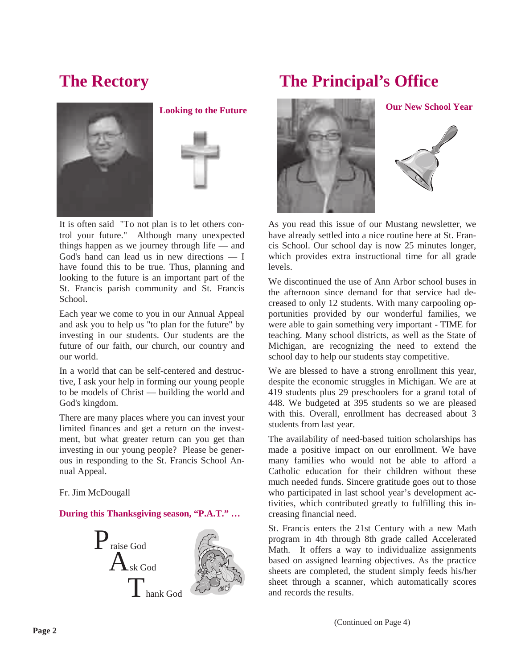



It is often said "To not plan is to let others control your future." Although many unexpected things happen as we journey through life — and God's hand can lead us in new directions — I have found this to be true. Thus, planning and looking to the future is an important part of the St. Francis parish community and St. Francis School.

Each year we come to you in our Annual Appeal and ask you to help us "to plan for the future" by investing in our students. Our students are the future of our faith, our church, our country and our world.

In a world that can be self-centered and destructive, I ask your help in forming our young people to be models of Christ — building the world and God's kingdom.

There are many places where you can invest your limited finances and get a return on the investment, but what greater return can you get than investing in our young people? Please be generous in responding to the St. Francis School Annual Appeal.

Fr. Jim McDougall

#### **During this Thanksgiving season, "P.A.T." …**



# **The Rectory The Principal's Office**





As you read this issue of our Mustang newsletter, we have already settled into a nice routine here at St. Francis School. Our school day is now 25 minutes longer, which provides extra instructional time for all grade levels.

We discontinued the use of Ann Arbor school buses in the afternoon since demand for that service had decreased to only 12 students. With many carpooling opportunities provided by our wonderful families, we were able to gain something very important - TIME for teaching. Many school districts, as well as the State of Michigan, are recognizing the need to extend the school day to help our students stay competitive.

We are blessed to have a strong enrollment this year, despite the economic struggles in Michigan. We are at 419 students plus 29 preschoolers for a grand total of 448. We budgeted at 395 students so we are pleased with this. Overall, enrollment has decreased about 3 students from last year.

The availability of need-based tuition scholarships has made a positive impact on our enrollment. We have many families who would not be able to afford a Catholic education for their children without these much needed funds. Sincere gratitude goes out to those who participated in last school year's development activities, which contributed greatly to fulfilling this increasing financial need.

St. Francis enters the 21st Century with a new Math program in 4th through 8th grade called Accelerated Math. It offers a way to individualize assignments based on assigned learning objectives. As the practice sheets are completed, the student simply feeds his/her sheet through a scanner, which automatically scores and records the results.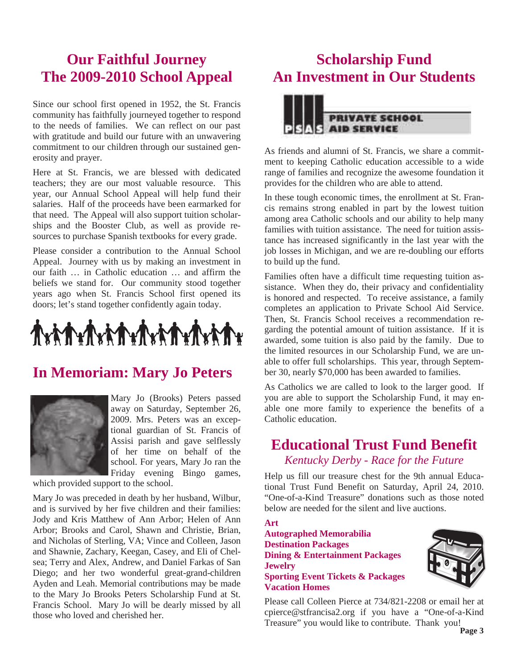## **Our Faithful Journey The 2009-2010 School Appeal**

Since our school first opened in 1952, the St. Francis community has faithfully journeyed together to respond to the needs of families. We can reflect on our past with gratitude and build our future with an unwavering commitment to our children through our sustained generosity and prayer.

Here at St. Francis, we are blessed with dedicated teachers; they are our most valuable resource. This year, our Annual School Appeal will help fund their salaries. Half of the proceeds have been earmarked for that need. The Appeal will also support tuition scholarships and the Booster Club, as well as provide resources to purchase Spanish textbooks for every grade.

Please consider a contribution to the Annual School Appeal. Journey with us by making an investment in our faith … in Catholic education … and affirm the beliefs we stand for. Our community stood together years ago when St. Francis School first opened its doors; let's stand together confidently again today.

# 

### **In Memoriam: Mary Jo Peters**



Mary Jo (Brooks) Peters passed away on Saturday, September 26, 2009. Mrs. Peters was an exceptional guardian of St. Francis of Assisi parish and gave selflessly of her time on behalf of the school. For years, Mary Jo ran the Friday evening Bingo games,

which provided support to the school.

Mary Jo was preceded in death by her husband, Wilbur, and is survived by her five children and their families: Jody and Kris Matthew of Ann Arbor; Helen of Ann Arbor; Brooks and Carol, Shawn and Christie, Brian, and Nicholas of Sterling, VA; Vince and Colleen, Jason and Shawnie, Zachary, Keegan, Casey, and Eli of Chelsea; Terry and Alex, Andrew, and Daniel Farkas of San Diego; and her two wonderful great-grand-children Ayden and Leah. Memorial contributions may be made to the Mary Jo Brooks Peters Scholarship Fund at St. Francis School. Mary Jo will be dearly missed by all those who loved and cherished her.

# **Scholarship Fund An Investment in Our Students**



As friends and alumni of St. Francis, we share a commitment to keeping Catholic education accessible to a wide range of families and recognize the awesome foundation it provides for the children who are able to attend.

In these tough economic times, the enrollment at St. Francis remains strong enabled in part by the lowest tuition among area Catholic schools and our ability to help many families with tuition assistance. The need for tuition assistance has increased significantly in the last year with the job losses in Michigan, and we are re-doubling our efforts to build up the fund.

Families often have a difficult time requesting tuition assistance. When they do, their privacy and confidentiality is honored and respected. To receive assistance, a family completes an application to Private School Aid Service. Then, St. Francis School receives a recommendation regarding the potential amount of tuition assistance. If it is awarded, some tuition is also paid by the family. Due to the limited resources in our Scholarship Fund, we are unable to offer full scholarships. This year, through September 30, nearly \$70,000 has been awarded to families.

As Catholics we are called to look to the larger good. If you are able to support the Scholarship Fund, it may enable one more family to experience the benefits of a Catholic education.

#### **Educational Trust Fund Benefit**  *Kentucky Derby - Race for the Future*

Help us fill our treasure chest for the 9th annual Educational Trust Fund Benefit on Saturday, April 24, 2010. "One-of-a-Kind Treasure" donations such as those noted below are needed for the silent and live auctions.

**Art** 

#### **Autographed Memorabilia Destination Packages Dining & Entertainment Packages Jewelry Sporting Event Tickets & Packages Vacation Homes**



Please call Colleen Pierce at 734/821-2208 or email her at cpierce@stfrancisa2.org if you have a "One-of-a-Kind Treasure" you would like to contribute. Thank you!